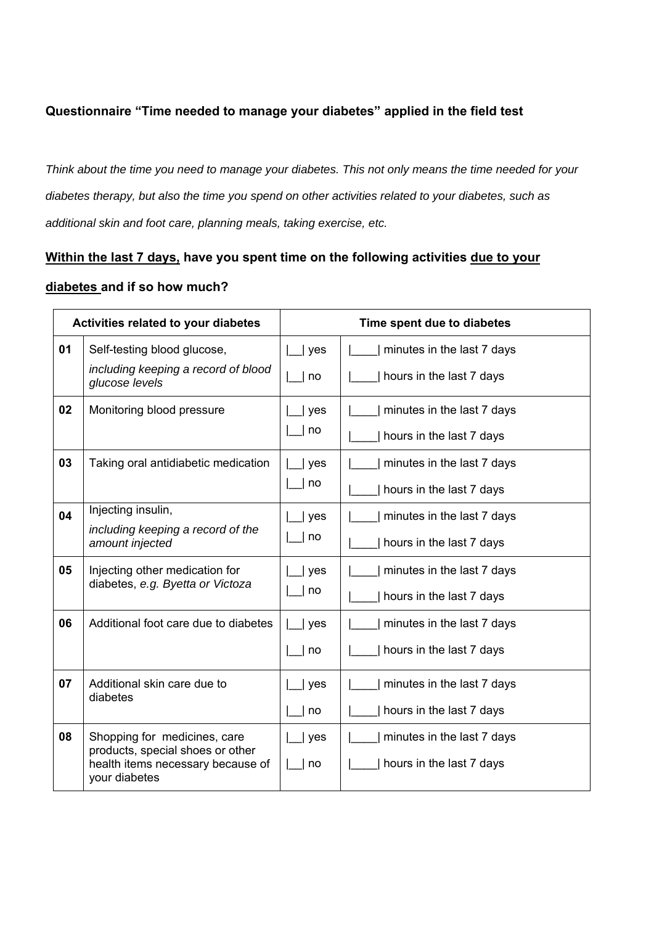## **Questionnaire "Time needed to manage your diabetes" applied in the field test**

*Think about the time you need to manage your diabetes. This not only means the time needed for your diabetes therapy, but also the time you spend on other activities related to your diabetes, such as additional skin and foot care, planning meals, taking exercise, etc.* 

## **Within the last 7 days, have you spent time on the following activities due to your**

## **diabetes and if so how much?**

| Activities related to your diabetes |                                                                                        | Time spent due to diabetes |                            |
|-------------------------------------|----------------------------------------------------------------------------------------|----------------------------|----------------------------|
| 01                                  | Self-testing blood glucose,                                                            | yes                        | minutes in the last 7 days |
|                                     | including keeping a record of blood<br>glucose levels                                  | no                         | hours in the last 7 days   |
| 02                                  | Monitoring blood pressure                                                              | yes                        | minutes in the last 7 days |
|                                     |                                                                                        | no                         | hours in the last 7 days   |
| 03                                  | Taking oral antidiabetic medication                                                    | yes                        | minutes in the last 7 days |
|                                     |                                                                                        | no                         | hours in the last 7 days   |
| 04                                  | Injecting insulin,                                                                     | yes                        | minutes in the last 7 days |
|                                     | including keeping a record of the<br>amount injected                                   | no                         | hours in the last 7 days   |
| 05                                  | Injecting other medication for<br>diabetes, e.g. Byetta or Victoza                     | yes                        | minutes in the last 7 days |
|                                     |                                                                                        | no                         | hours in the last 7 days   |
| 06                                  | Additional foot care due to diabetes                                                   | yes                        | minutes in the last 7 days |
|                                     |                                                                                        | no                         | hours in the last 7 days   |
| 07                                  | Additional skin care due to<br>diabetes                                                | yes                        | minutes in the last 7 days |
|                                     |                                                                                        | no                         | hours in the last 7 days   |
| 08                                  | Shopping for medicines, care                                                           | yes                        | minutes in the last 7 days |
|                                     | products, special shoes or other<br>health items necessary because of<br>your diabetes | no                         | hours in the last 7 days   |